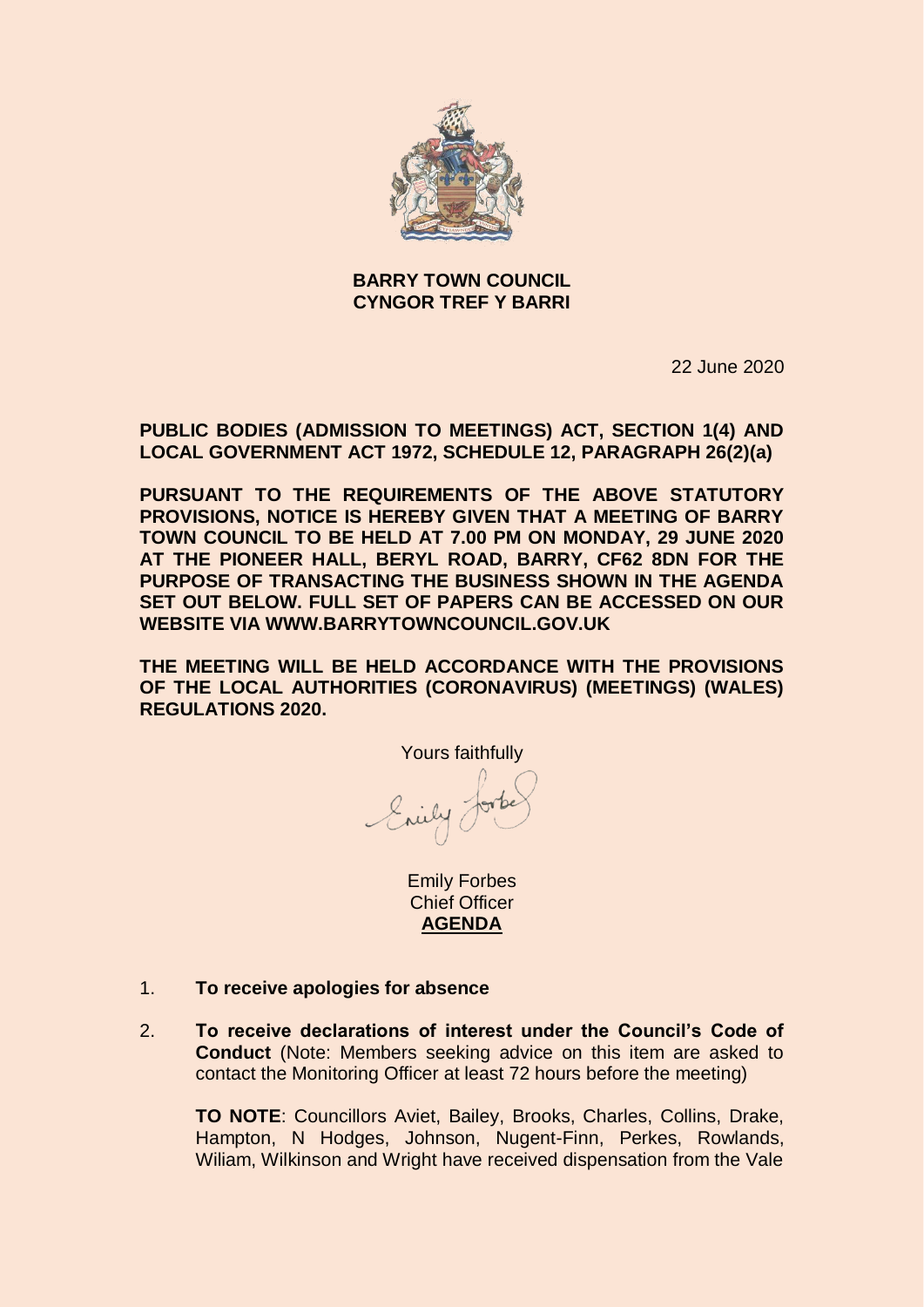

### **BARRY TOWN COUNCIL CYNGOR TREF Y BARRI**

22 June 2020

**PUBLIC BODIES (ADMISSION TO MEETINGS) ACT, SECTION 1(4) AND LOCAL GOVERNMENT ACT 1972, SCHEDULE 12, PARAGRAPH 26(2)(a)**

**PURSUANT TO THE REQUIREMENTS OF THE ABOVE STATUTORY PROVISIONS, NOTICE IS HEREBY GIVEN THAT A MEETING OF BARRY TOWN COUNCIL TO BE HELD AT 7.00 PM ON MONDAY, 29 JUNE 2020 AT THE PIONEER HALL, BERYL ROAD, BARRY, CF62 8DN FOR THE PURPOSE OF TRANSACTING THE BUSINESS SHOWN IN THE AGENDA SET OUT BELOW. FULL SET OF PAPERS CAN BE ACCESSED ON OUR WEBSITE VIA WWW.BARRYTOWNCOUNCIL.GOV.UK**

**THE MEETING WILL BE HELD ACCORDANCE WITH THE PROVISIONS OF THE LOCAL AUTHORITIES (CORONAVIRUS) (MEETINGS) (WALES) REGULATIONS 2020.** 

Yours faithfully Enily Jorke

Emily Forbes Chief Officer **AGENDA**

- 1. **To receive apologies for absence**
- 2. **To receive declarations of interest under the Council's Code of Conduct** (Note: Members seeking advice on this item are asked to contact the Monitoring Officer at least 72 hours before the meeting)

**TO NOTE**: Councillors Aviet, Bailey, Brooks, Charles, Collins, Drake, Hampton, N Hodges, Johnson, Nugent-Finn, Perkes, Rowlands, Wiliam, Wilkinson and Wright have received dispensation from the Vale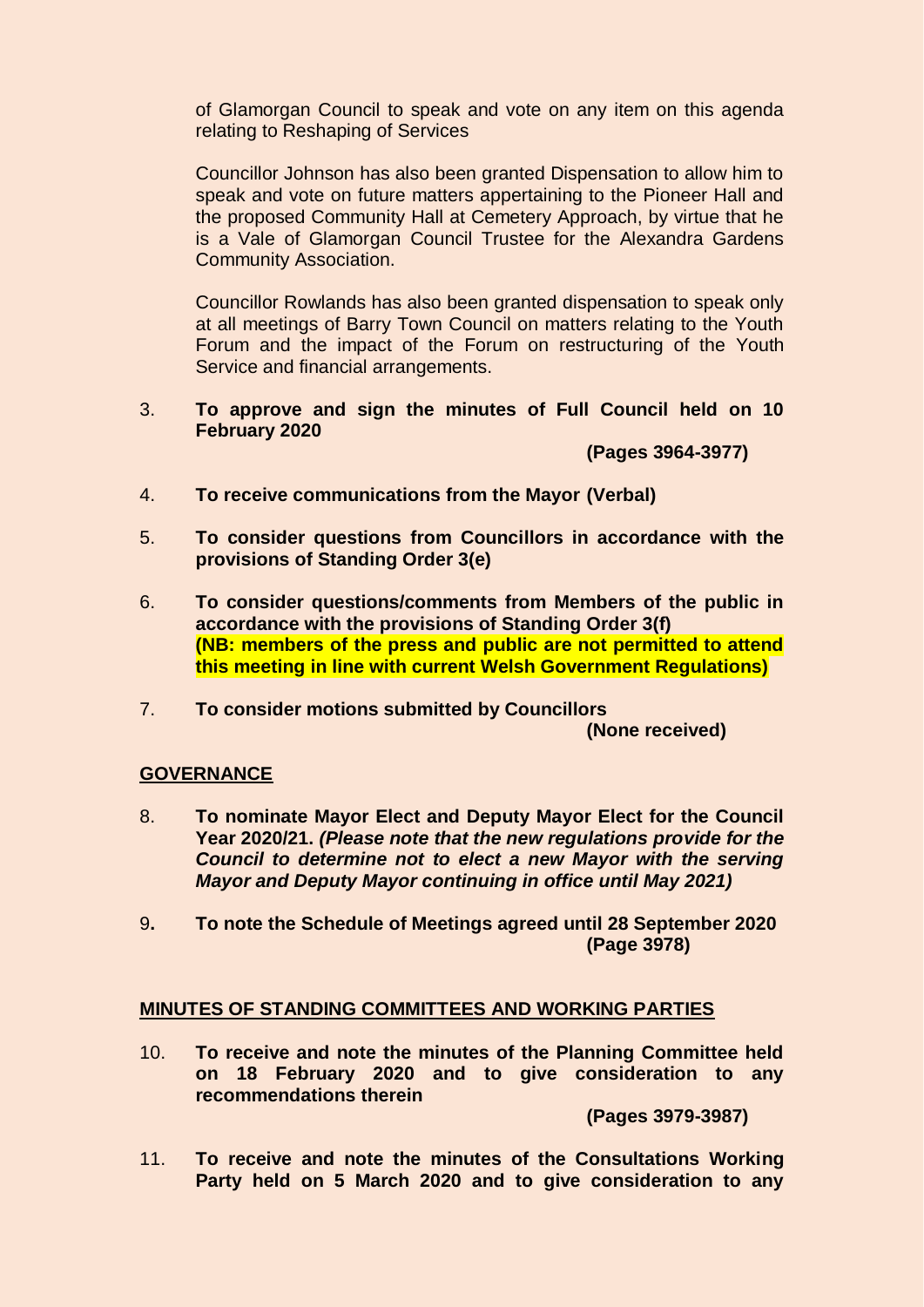of Glamorgan Council to speak and vote on any item on this agenda relating to Reshaping of Services

Councillor Johnson has also been granted Dispensation to allow him to speak and vote on future matters appertaining to the Pioneer Hall and the proposed Community Hall at Cemetery Approach, by virtue that he is a Vale of Glamorgan Council Trustee for the Alexandra Gardens Community Association.

Councillor Rowlands has also been granted dispensation to speak only at all meetings of Barry Town Council on matters relating to the Youth Forum and the impact of the Forum on restructuring of the Youth Service and financial arrangements.

3. **To approve and sign the minutes of Full Council held on 10 February 2020**

**(Pages 3964-3977)**

- 4. **To receive communications from the Mayor (Verbal)**
- 5. **To consider questions from Councillors in accordance with the provisions of Standing Order 3(e)**
- 6. **To consider questions/comments from Members of the public in accordance with the provisions of Standing Order 3(f) (NB: members of the press and public are not permitted to attend this meeting in line with current Welsh Government Regulations)**
- 7. **To consider motions submitted by Councillors (None received)**

### **GOVERNANCE**

- 8. **To nominate Mayor Elect and Deputy Mayor Elect for the Council Year 2020/21.** *(Please note that the new regulations provide for the Council to determine not to elect a new Mayor with the serving Mayor and Deputy Mayor continuing in office until May 2021)*
- 9**. To note the Schedule of Meetings agreed until 28 September 2020 (Page 3978)**

### **MINUTES OF STANDING COMMITTEES AND WORKING PARTIES**

10. **To receive and note the minutes of the Planning Committee held on 18 February 2020 and to give consideration to any recommendations therein**

**(Pages 3979-3987)**

11. **To receive and note the minutes of the Consultations Working Party held on 5 March 2020 and to give consideration to any**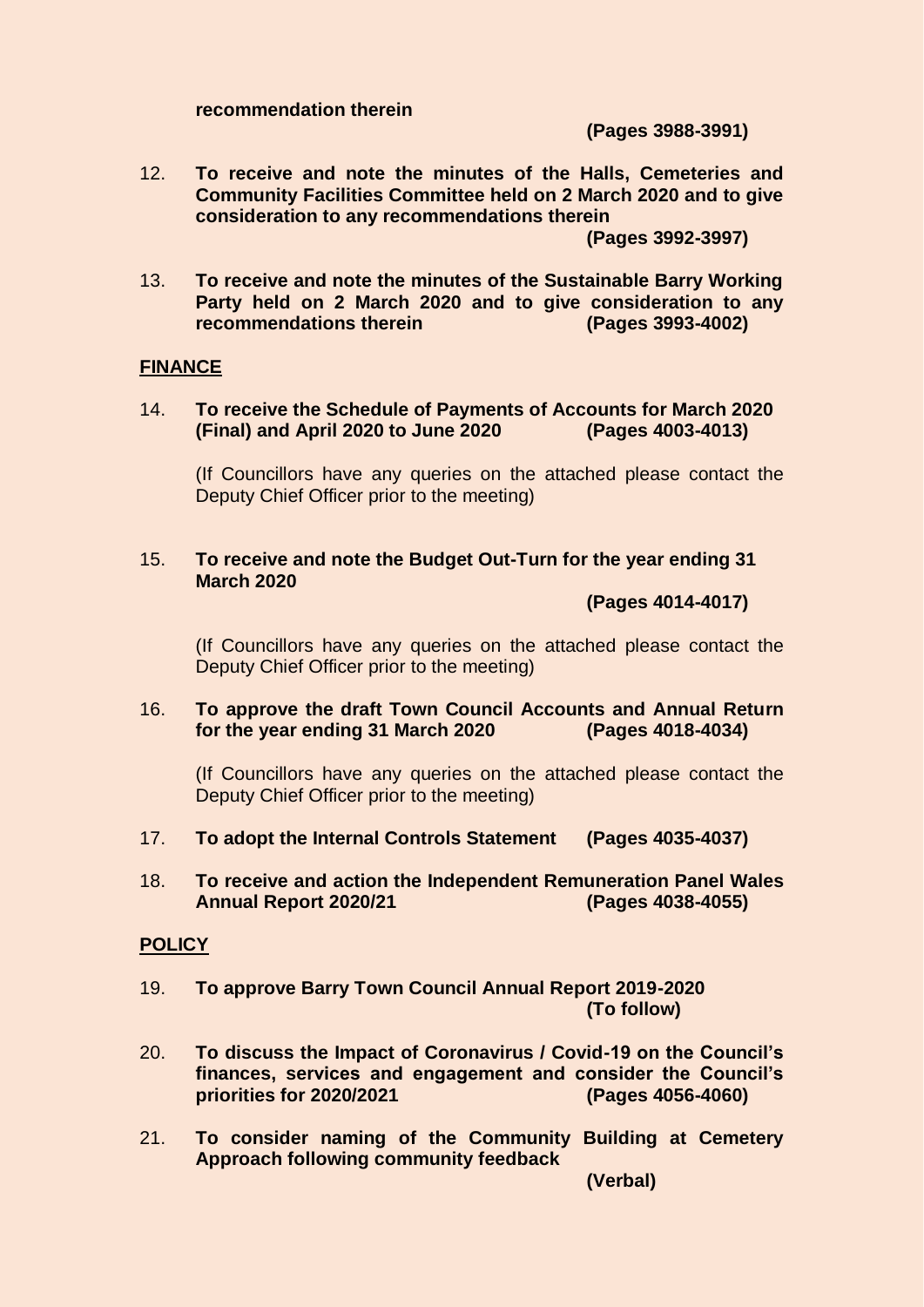#### **recommendation therein**

**(Pages 3988-3991)**

12. **To receive and note the minutes of the Halls, Cemeteries and Community Facilities Committee held on 2 March 2020 and to give consideration to any recommendations therein**

**(Pages 3992-3997)**

13. **To receive and note the minutes of the Sustainable Barry Working Party held on 2 March 2020 and to give consideration to any recommendations therein (Pages 3993-4002)**

### **FINANCE**

14. **To receive the Schedule of Payments of Accounts for March 2020 (Final) and April 2020 to June 2020 (Pages 4003-4013)**

(If Councillors have any queries on the attached please contact the Deputy Chief Officer prior to the meeting)

15. **To receive and note the Budget Out-Turn for the year ending 31 March 2020** 

**(Pages 4014-4017)**

(If Councillors have any queries on the attached please contact the Deputy Chief Officer prior to the meeting)

16. **To approve the draft Town Council Accounts and Annual Return for the year ending 31 March 2020 (Pages 4018-4034)**

(If Councillors have any queries on the attached please contact the Deputy Chief Officer prior to the meeting)

- 17. **To adopt the Internal Controls Statement (Pages 4035-4037)**
- 18. **To receive and action the Independent Remuneration Panel Wales Annual Report 2020/21 (Pages 4038-4055)**

#### **POLICY**

- 19. **To approve Barry Town Council Annual Report 2019-2020 (To follow)**
- 20. **To discuss the Impact of Coronavirus / Covid-19 on the Council's finances, services and engagement and consider the Council's priorities for 2020/2021 (Pages 4056-4060)**
- 21. **To consider naming of the Community Building at Cemetery Approach following community feedback**

**(Verbal)**